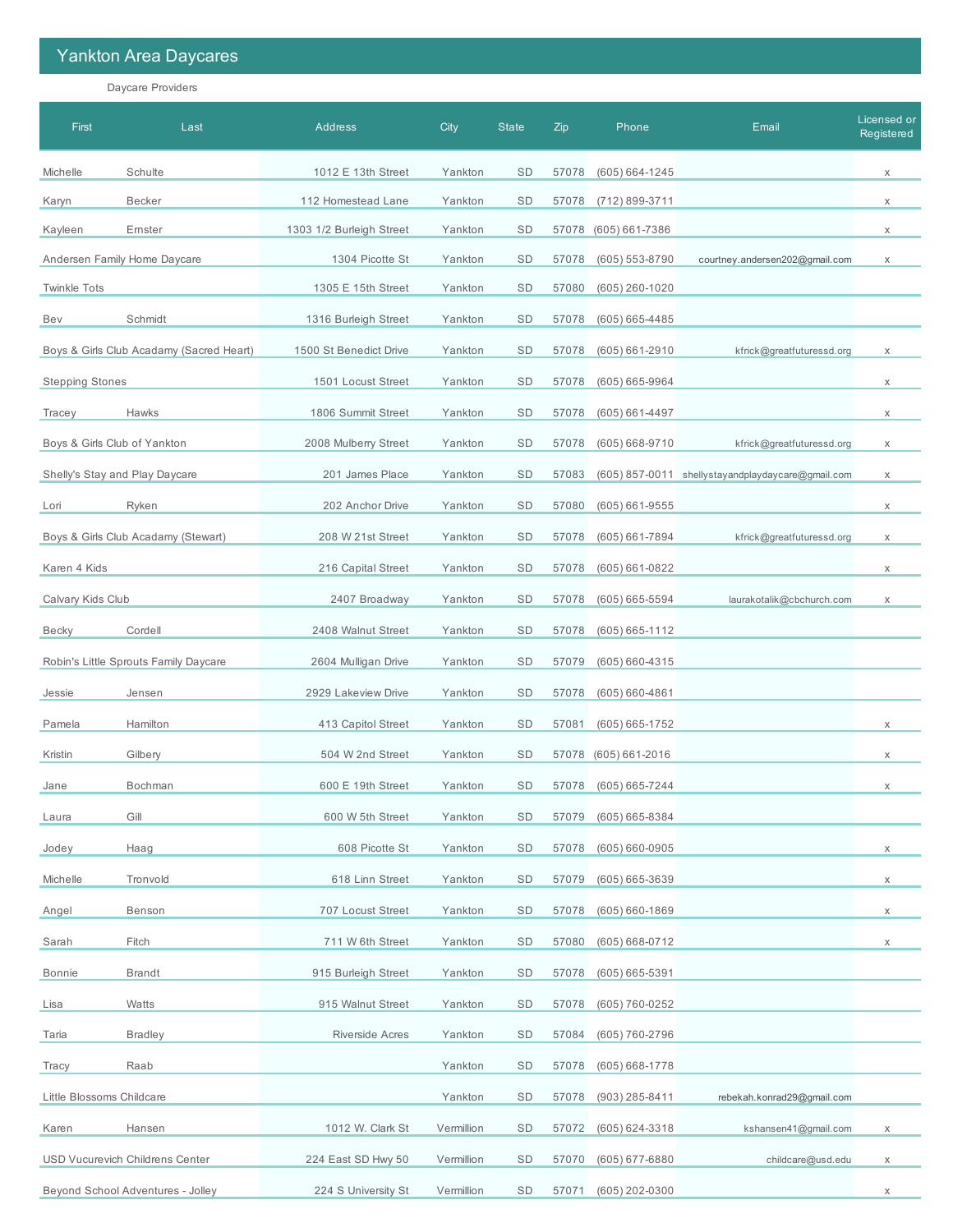## Yankton Area Daycares

Daycare Providers

| First                     | Last                                     | <b>Address</b>           | City       | <b>State</b> | Zip   | Phone              | Email                                             | Licensed or<br>Registered |
|---------------------------|------------------------------------------|--------------------------|------------|--------------|-------|--------------------|---------------------------------------------------|---------------------------|
| Michelle                  | Schulte                                  | 1012 E 13th Street       | Yankton    | <b>SD</b>    | 57078 | $(605) 664 - 1245$ |                                                   | $\mathsf X$               |
| Karyn                     | <b>Becker</b>                            | 112 Homestead Lane       | Yankton    | <b>SD</b>    | 57078 | (712) 899-3711     |                                                   | X                         |
| Kayleen                   | Ernster                                  | 1303 1/2 Burleigh Street | Yankton    | <b>SD</b>    | 57078 | (605) 661-7386     |                                                   | X                         |
|                           | Andersen Family Home Daycare             | 1304 Picotte St          | Yankton    | SD           | 57078 | $(605) 553 - 8790$ | courtney.andersen202@gmail.com                    | X                         |
| <b>Twinkle Tots</b>       |                                          | 1305 E 15th Street       | Yankton    | SD           | 57080 | $(605)$ 260-1020   |                                                   |                           |
| Bev                       | Schmidt                                  | 1316 Burleigh Street     | Yankton    | SD           | 57078 | $(605) 665 - 4485$ |                                                   |                           |
|                           | Boys & Girls Club Acadamy (Sacred Heart) | 1500 St Benedict Drive   | Yankton    | <b>SD</b>    | 57078 | $(605) 661 - 2910$ | kfrick@greatfuturessd.org                         | X                         |
| <b>Stepping Stones</b>    |                                          | 1501 Locust Street       | Yankton    | <b>SD</b>    | 57078 | (605) 665-9964     |                                                   | X                         |
| Tracey                    | Hawks                                    | 1806 Summit Street       | Yankton    | SD           | 57078 | $(605) 661 - 4497$ |                                                   | X                         |
|                           | Boys & Girls Club of Yankton             | 2008 Mulberry Street     | Yankton    | <b>SD</b>    | 57078 | $(605) 668 - 9710$ | kfrick@greatfuturessd.org                         | X                         |
|                           | Shelly's Stay and Play Daycare           | 201 James Place          | Yankton    | SD           | 57083 |                    | (605) 857-0011 shellystayandplaydaycare@gmail.com | X                         |
| Lori                      | Ryken                                    | 202 Anchor Drive         | Yankton    | SD           | 57080 | $(605) 661 - 9555$ |                                                   | X                         |
|                           | Boys & Girls Club Acadamy (Stewart)      | 208 W 21st Street        | Yankton    | <b>SD</b>    | 57078 | $(605) 661 - 7894$ | kfrick@greatfuturessd.org                         | X                         |
| Karen 4 Kids              |                                          | 216 Capital Street       | Yankton    | <b>SD</b>    | 57078 | (605) 661-0822     |                                                   | X                         |
| Calvary Kids Club         |                                          | 2407 Broadway            | Yankton    | SD           | 57078 | $(605) 665 - 5594$ | laurakotalik@cbchurch.com                         | X                         |
| Becky                     | Cordell                                  | 2408 Walnut Street       | Yankton    | <b>SD</b>    | 57078 | $(605) 665 - 1112$ |                                                   |                           |
|                           | Robin's Little Sprouts Family Daycare    | 2604 Mulligan Drive      | Yankton    | SD           | 57079 | (605) 660-4315     |                                                   |                           |
| Jessie                    | Jensen                                   | 2929 Lakeview Drive      | Yankton    | SD           | 57078 | $(605) 660 - 4861$ |                                                   |                           |
| Pamela                    | Hamilton                                 | 413 Capitol Street       | Yankton    | <b>SD</b>    | 57081 | $(605) 665 - 1752$ |                                                   | X                         |
| Kristin                   | Gilbery                                  | 504 W 2nd Street         | Yankton    | <b>SD</b>    | 57078 | $(605) 661 - 2016$ |                                                   | X                         |
| Jane                      | Bochman                                  | 600 E 19th Street        | Yankton    | SD           | 57078 | (605) 665-7244     |                                                   | X                         |
| Laura                     | Gill                                     | 600 W 5th Street         | Yankton    | SD           | 57079 | $(605) 665 - 8384$ |                                                   |                           |
| Jodey                     | Haag                                     | 608 Picotte St           | Yankton    | SD           | 57078 | $(605) 660 - 0905$ |                                                   | X                         |
| Michelle                  | Tronvold                                 | 618 Linn Street          | Yankton    | SD           | 57079 | $(605) 665 - 3639$ |                                                   | $\mathsf X$               |
| Angel                     | Benson                                   | 707 Locust Street        | Yankton    | SD           | 57078 | $(605) 660 - 1869$ |                                                   | X                         |
| Sarah                     | Fitch                                    | 711 W 6th Street         | Yankton    | SD           | 57080 | $(605) 668 - 0712$ |                                                   | $\mathsf X$               |
| Bonnie                    | <b>Brandt</b>                            | 915 Burleigh Street      | Yankton    | SD           | 57078 | $(605) 665 - 5391$ |                                                   |                           |
| Lisa                      | Watts                                    | 915 Walnut Street        | Yankton    | SD           | 57078 | (605) 760-0252     |                                                   |                           |
| Taria                     | <b>Bradley</b>                           | <b>Riverside Acres</b>   | Yankton    | SD           | 57084 | (605) 760-2796     |                                                   |                           |
| Tracy                     | Raab                                     |                          | Yankton    | SD           | 57078 | $(605) 668 - 1778$ |                                                   |                           |
| Little Blossoms Childcare |                                          |                          | Yankton    | SD           | 57078 | $(903)$ 285-8411   | rebekah.konrad29@gmail.com                        |                           |
| Karen                     | Hansen                                   | 1012 W. Clark St         | Vermillion | SD           | 57072 | $(605) 624 - 3318$ | kshansen41@gmail.com                              | X                         |
|                           | <b>USD Vucurevich Childrens Center</b>   | 224 East SD Hwy 50       | Vermillion | SD           | 57070 | $(605)$ 677-6880   | childcare@usd.edu                                 | X                         |
|                           | Beyond School Adventures - Jolley        | 224 S University St      | Vermillion | SD           | 57071 | (605) 202-0300     |                                                   | X                         |